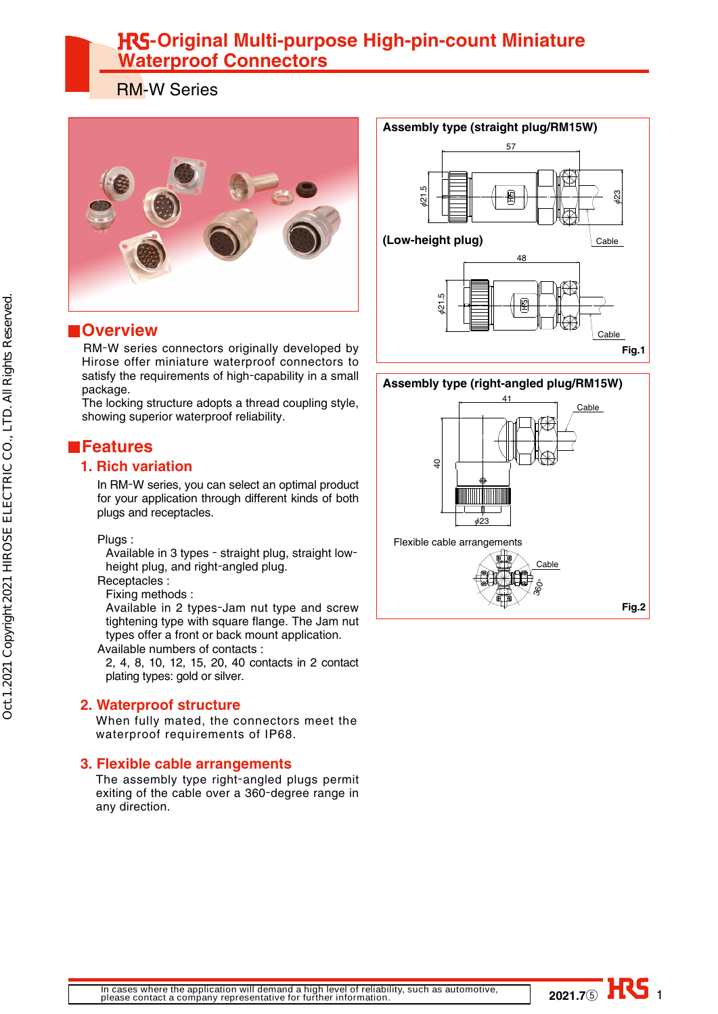# **HG-Original Multi-purpose High-pin-count Miniature Waterproof Connectors**

RM-W Series



## **Overview**

 RM-W series connectors originally developed by Hirose offer miniature waterproof connectors to satisfy the requirements of high-capability in a small package.

The locking structure adopts a thread coupling style, showing superior waterproof reliability.

## **Features**

### **1. Rich variation**

In RM-W series, you can select an optimal product for your application through different kinds of both plugs and receptacles.

### Plugs :

Available in 3 types - straight plug, straight lowheight plug, and right-angled plug.

Receptacles :

Fixing methods :

Available in 2 types-Jam nut type and screw tightening type with square flange. The Jam nut types offer a front or back mount application.

Available numbers of contacts :

2, 4, 8, 10, 12, 15, 20, 40 contacts in 2 contact plating types: gold or silver.

### **2. Waterproof structure**

 When fully mated, the connectors meet the waterproof requirements of IP68.

### **3. Flexible cable arrangements**

 The assembly type right-angled plugs permit exiting of the cable over a 360-degree range in any direction.





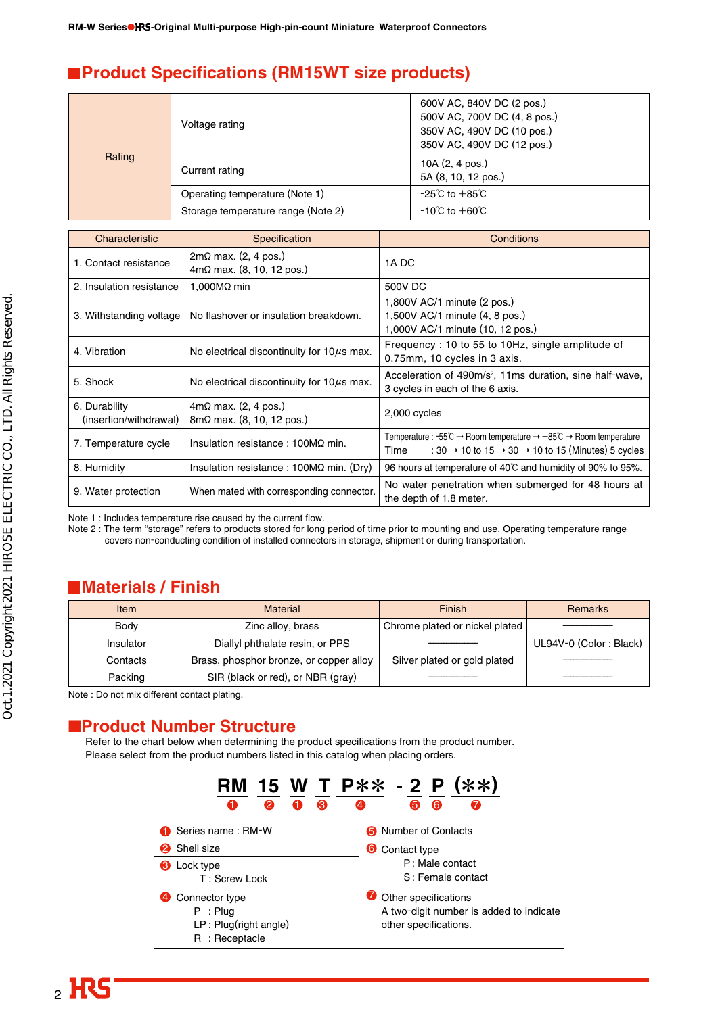## **Product Specifications (RM15WT size products)**

|        | Voltage rating                     | 600V AC, 840V DC (2 pos.)<br>500V AC, 700V DC (4, 8 pos.)<br>350V AC, 490V DC (10 pos.)<br>350V AC, 490V DC (12 pos.) |
|--------|------------------------------------|-----------------------------------------------------------------------------------------------------------------------|
| Rating | Current rating                     | 10A (2, 4 pos.)<br>5A (8, 10, 12 pos.)                                                                                |
|        | Operating temperature (Note 1)     | $-25^{\circ}$ C to $+85^{\circ}$ C                                                                                    |
|        | Storage temperature range (Note 2) | $-10^{\circ}$ C to $+60^{\circ}$ C                                                                                    |

| Characteristic                          | Specification                                                             | Conditions                                                                                                                                                                                                                        |
|-----------------------------------------|---------------------------------------------------------------------------|-----------------------------------------------------------------------------------------------------------------------------------------------------------------------------------------------------------------------------------|
| 1. Contact resistance                   | $2m\Omega$ max. (2, 4 pos.)<br>$4m\Omega$ max. (8, 10, 12 pos.)           | 1A DC                                                                                                                                                                                                                             |
| 2. Insulation resistance                | 1,000 $M\Omega$ min                                                       | 500V DC                                                                                                                                                                                                                           |
| 3. Withstanding voltage                 | No flashover or insulation breakdown.                                     | 1,800V AC/1 minute (2 pos.)<br>1,500V AC/1 minute (4, 8 pos.)<br>1,000V AC/1 minute (10, 12 pos.)                                                                                                                                 |
| 4. Vibration                            | No electrical discontinuity for $10\mu s$ max.                            | Frequency: 10 to 55 to 10Hz, single amplitude of<br>0.75mm, 10 cycles in 3 axis.                                                                                                                                                  |
| 5. Shock                                | No electrical discontinuity for $10\mu s$ max.                            | Acceleration of 490m/s <sup>2</sup> , 11ms duration, sine half-wave,<br>3 cycles in each of the 6 axis.                                                                                                                           |
| 6. Durability<br>(insertion/withdrawal) | $4m\Omega$ max. (2, 4 pos.)<br>$8m\Omega$ max. $(8, 10, 12 \text{ pos.})$ | 2,000 cycles                                                                                                                                                                                                                      |
| 7. Temperature cycle                    | Insulation resistance: $100M\Omega$ min.                                  | Temperature : $-55^{\circ}\text{C} \rightarrow$ Room temperature $\rightarrow +85^{\circ}\text{C} \rightarrow$ Room temperature<br>: 30 $\rightarrow$ 10 to 15 $\rightarrow$ 30 $\rightarrow$ 10 to 15 (Minutes) 5 cycles<br>Time |
| 8. Humidity                             | Insulation resistance : $100M\Omega$ min. (Dry)                           | 96 hours at temperature of 40°C and humidity of 90% to 95%.                                                                                                                                                                       |
| 9. Water protection                     | When mated with corresponding connector.                                  | No water penetration when submerged for 48 hours at<br>the depth of 1.8 meter.                                                                                                                                                    |

Note 1 : Includes temperature rise caused by the current flow.

Note 2 : The term "storage" refers to products stored for long period of time prior to mounting and use. Operating temperature range covers non-conducting condition of installed connectors in storage, shipment or during transportation.

## **Materials / Finish**

| Item      | <b>Material</b>                         | Finish                         | <b>Remarks</b>         |
|-----------|-----------------------------------------|--------------------------------|------------------------|
| Body      | Zinc alloy, brass                       | Chrome plated or nickel plated |                        |
| Insulator | Diallyl phthalate resin, or PPS         |                                | UL94V-0 (Color: Black) |
| Contacts  | Brass, phosphor bronze, or copper alloy | Silver plated or gold plated   |                        |
| Packing   | SIR (black or red), or NBR (gray)       |                                |                        |

Note : Do not mix different contact plating.

## ■**Product Number Structure**

Refer to the chart below when determining the product specifications from the product number. Please select from the product numbers listed in this catalog when placing orders.

| 0                                                                           |                                                                                          |  |
|-----------------------------------------------------------------------------|------------------------------------------------------------------------------------------|--|
| Series name: RM-W                                                           | <b>6</b> Number of Contacts                                                              |  |
| Shell size                                                                  | <b>O</b> Contact type                                                                    |  |
| <b>8</b> Lock type<br>T: Screw Lock                                         | P: Male contact<br>S: Female contact                                                     |  |
| Connector type<br>: Plug<br>P<br>$LP$ : Plug(right angle)<br>R : Receptacle | Other specifications<br>A two-digit number is added to indicate<br>other specifications. |  |

**RM 15 W T P**\*\* **- 2 P (**\*\***)**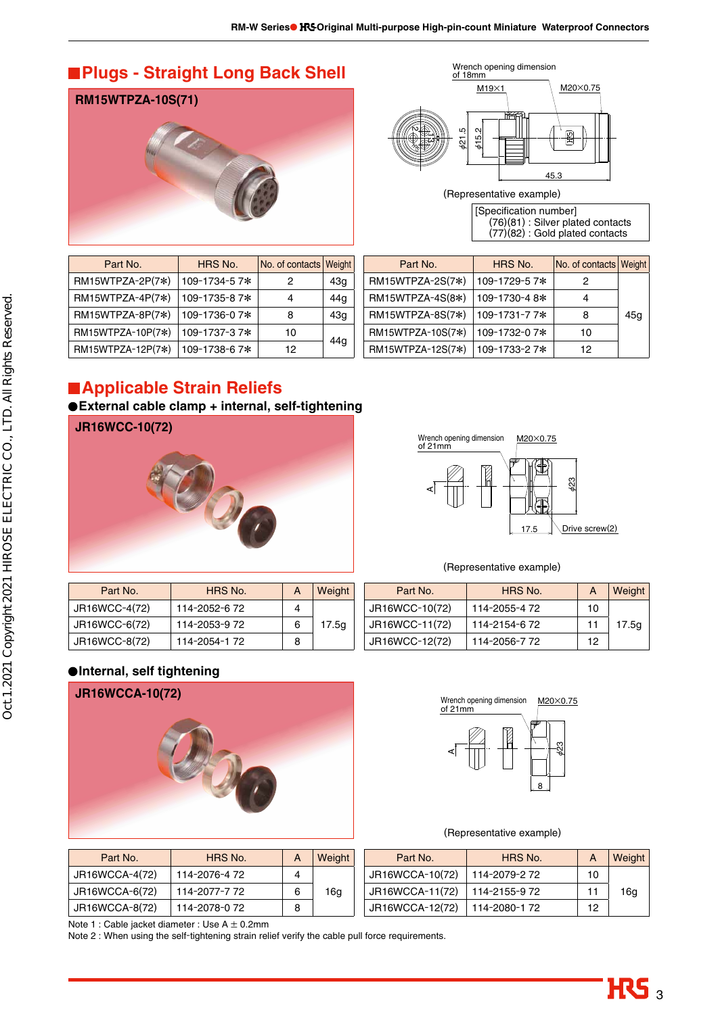## **Plugs - Straight Long Back Shell**

**RM15WTPZA-10S(71)**



| Part No.          | HRS No.      | No. of contacts Weight |                 |
|-------------------|--------------|------------------------|-----------------|
| RM15WTPZA-2P(7*)  | 109-1734-57* | 2                      | 43q             |
| RM15WTPZA-4P(7*)  | 109-1735-87* | 4                      | 44 <sub>g</sub> |
| RM15WTPZA-8P(7*)  | 109-1736-07* | 8                      | 43q             |
| RM15WTPZA-10P(7*) | 109-1737-37* | 10                     |                 |
| RM15WTPZA-12P(7*) | 109-1738-67* | 12                     | 44 <sub>a</sub> |



(Representative example)

[Specification number] (76)(81) : Silver plated contacts (77)(82) : Gold plated contacts

| Part No.          | HRS No.      | No. of contacts Weight |     |
|-------------------|--------------|------------------------|-----|
| RM15WTPZA-2S(7*)  | 109-1729-57* | 2                      |     |
| RM15WTPZA-4S(8*)  | 109-1730-48* |                        |     |
| RM15WTPZA-8S(7*)  | 109-1731-77* | 8                      | 45a |
| RM15WTPZA-10S(7*) | 109-1732-07* | 10                     |     |
| RM15WTPZA-12S(7*) | 109-1733-27* | 12                     |     |

## **Applicable Strain Reliefs**

**External cable clamp + internal, self-tightening**





### $(D_{\text{excess}})$

| Part No.      | HRS No.       | A | Weight |
|---------------|---------------|---|--------|
| JR16WCC-4(72) | 114-2052-6 72 |   |        |
| JR16WCC-6(72) | 114-2053-9 72 | 6 | 17.5q  |
| JR16WCC-8(72) | 114-2054-1 72 | 8 |        |

|                | (Representative example) |    |        |
|----------------|--------------------------|----|--------|
| Part No.       | HRS No.                  | A  | Weight |
| JR16WCC-10(72) | 114-2055-4 72            | 10 |        |
| JR16WCC-11(72) | 114-2154-6 72            | 11 | 17.5g  |
| JR16WCC-12(72) | 114-2056-7 72            | 12 |        |

## **Internal, self tightening**



| Part No.       | HRS No.       | A | Weight |
|----------------|---------------|---|--------|
| JR16WCCA-4(72) | 114-2076-4 72 |   |        |
| JR16WCCA-6(72) | 114-2077-772  | 6 | 16g    |
| JR16WCCA-8(72) | 114-2078-0 72 | 8 |        |



#### (Representative example)

| Part No.        | HRS No.       | A  | Weight |
|-----------------|---------------|----|--------|
| JR16WCCA-10(72) | 114-2079-2 72 | 10 |        |
| JR16WCCA-11(72) | 114-2155-972  | 11 | 16g    |
| JR16WCCA-12(72) | 114-2080-172  | 12 |        |

Note 1 : Cable jacket diameter : Use A  $\pm$  0.2mm

Note 2 : When using the self-tightening strain relief verify the cable pull force requirements.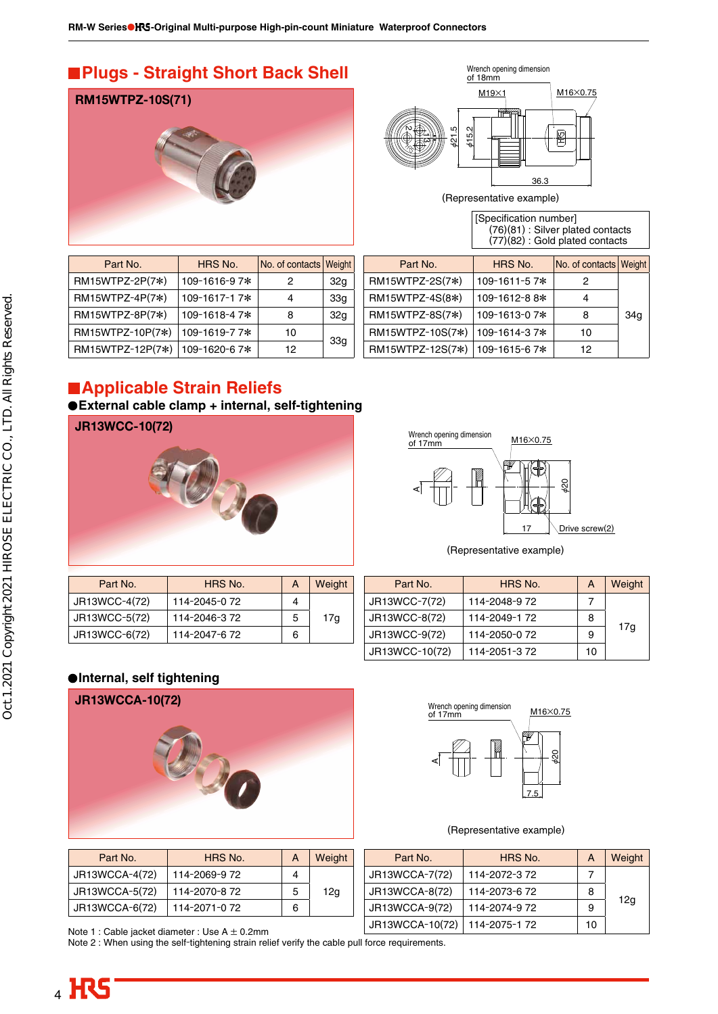## **Plugs - Straight Short Back Shell**



| Part No.         | HRS No.      | No. of contacts Weight |                 |
|------------------|--------------|------------------------|-----------------|
| RM15WTPZ-2P(7*)  | 109-1616-97* | 2                      | 32 <sub>g</sub> |
| RM15WTPZ-4P(7*)  | 109-1617-17* | 4                      | 33g             |
| RM15WTPZ-8P(7*)  | 109-1618-47* | 8                      | 32g             |
| RM15WTPZ-10P(7*) | 109-1619-77* | 10                     |                 |
| RM15WTPZ-12P(7*) | 109-1620-67* | 12 <sup>2</sup>        | 33 <sub>q</sub> |



(Representative example)

| [Specification number]            |
|-----------------------------------|
| (76)(81) : Silver plated contacts |
| (77)(82) : Gold plated contacts   |

| Part No.         | HRS No.       | No. of contacts Weight |                 |
|------------------|---------------|------------------------|-----------------|
| RM15WTPZ-2S(7*)  | 109-1611-57*  | 2                      |                 |
| RM15WTPZ-4S(8*)  | 109-1612-8 8* | 4                      |                 |
| RM15WTPZ-8S(7*)  | 109-1613-07*  | 8                      | 34 <sub>a</sub> |
| RM15WTPZ-10S(7*) | 109-1614-37*  | 10                     |                 |
| RM15WTPZ-12S(7*) | 109-1615-67*  | 12                     |                 |

# **Applicable Strain Reliefs**

**External cable clamp + internal, self-tightening**

**JR13WCC-10(72)**





(Representative example)

| Part No.      | HRS No.       | А | Weight |
|---------------|---------------|---|--------|
| JR13WCC-4(72) | 114-2045-0 72 |   |        |
| JR13WCC-5(72) | 114-2046-372  | 5 | 17a    |
| JR13WCC-6(72) | 114-2047-672  | 6 |        |

| Part No.       | HRS No.      | A  | Weight |
|----------------|--------------|----|--------|
| JR13WCC-7(72)  | 114-2048-972 |    |        |
| JR13WCC-8(72)  | 114-2049-172 | 8  |        |
| JR13WCC-9(72)  | 114-2050-072 | 9  | 17a    |
| JR13WCC-10(72) | 114-2051-372 | 10 |        |

### **Internal, self tightening**



| Part No.       | HRS No.       | А | Weight |
|----------------|---------------|---|--------|
| JR13WCCA-4(72) | 114-2069-9 72 | 4 |        |
| JR13WCCA-5(72) | 114-2070-8 72 | 5 | 12g    |
| JR13WCCA-6(72) | 114-2071-0 72 | 6 |        |



#### (Representative example)

| Part No.        | HRS No.      | A  | Weight          |
|-----------------|--------------|----|-----------------|
| JR13WCCA-7(72)  | 114-2072-372 |    |                 |
| JR13WCCA-8(72)  | 114-2073-672 | 8  |                 |
| JR13WCCA-9(72)  | 114-2074-972 | 9  | 12 <sub>q</sub> |
| JR13WCCA-10(72) | 114-2075-172 | 10 |                 |

Note 1 : Cable jacket diameter : Use A ± 0.2mm

Note 2 : When using the self-tightening strain relief verify the cable pull force requirements.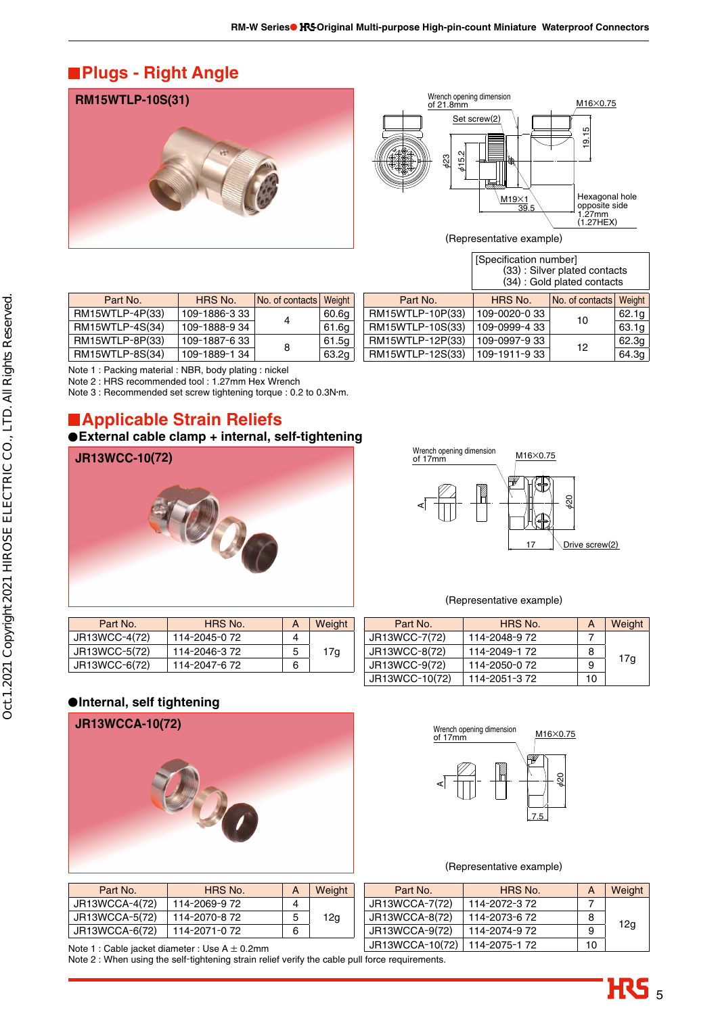# **Plugs - Right Angle**

**RM15WTLP-10S(31)**



(Representative example)

| HRS No.       | Weight               |
|---------------|----------------------|
| 109-1886-333  | 60.6g                |
| 109-1888-9 34 | 61.6g                |
| 109-1887-633  | 61.5g                |
| 109-1889-134  | 63.2g                |
|               | No. of contacts<br>8 |

|                  | [Specification number]<br>(33) : Silver plated contacts<br>(34) : Gold plated contacts |                 |        |  |
|------------------|----------------------------------------------------------------------------------------|-----------------|--------|--|
| Part No.         | HRS No.                                                                                | No. of contacts | Weight |  |
| RM15WTLP-10P(33) | 109-0020-033                                                                           | 10              | 62.1g  |  |
| RM15WTLP-10S(33) | 109-0999-4 33                                                                          |                 | 63.1g  |  |
| RM15WTLP-12P(33) | 109-0997-933                                                                           | 12              | 62.3g  |  |
| RM15WTLP-12S(33) | 109-1911-933                                                                           |                 | 64.3g  |  |

Note 1 : Packing material : NBR, body plating : nickel

Note 2 : HRS recommended tool : 1.27mm Hex Wrench

Note 3 : Recommended set screw tightening torque : 0.2 to 0.3N•m.

## **Applicable Strain Reliefs**

### **External cable clamp + internal, self-tightening**



| Wrench opening dimension<br>of 17mm | M16×0.75             |
|-------------------------------------|----------------------|
|                                     | Drive screw(2)<br>17 |

(Representative example)

| Part No.      | HRS No.       | A | Weight |
|---------------|---------------|---|--------|
| JR13WCC-4(72) | 114-2045-0 72 |   |        |
| JR13WCC-5(72) | 114-2046-372  | 5 | 17g    |
| JR13WCC-6(72) | 114-2047-6 72 | 6 |        |
|               |               |   |        |

| Part No.       | HRS No.       | A  | Weight |
|----------------|---------------|----|--------|
| JR13WCC-7(72)  | 114-2048-972  |    |        |
| JR13WCC-8(72)  | 114-2049-172  | 8  |        |
| JR13WCC-9(72)  | 114-2050-0 72 | 9  | 17g    |
| JR13WCC-10(72) | 114-2051-372  | 10 |        |

### **Internal, self tightening**



| Part No.       | HRS No.       | А | Weight |
|----------------|---------------|---|--------|
| JR13WCCA-4(72) | 114-2069-9 72 |   |        |
| JR13WCCA-5(72) | 114-2070-8 72 | 5 | 12g    |
| JR13WCCA-6(72) | 114-2071-0 72 | 6 |        |

# 7.5 M16∞0.75 Wrench opening dimension of 17mm AØ20

#### (Representative example)

| Part No.                                                                                        | HRS No.       | A | Weight | Part No.       | HRS No.       | А | Weight |
|-------------------------------------------------------------------------------------------------|---------------|---|--------|----------------|---------------|---|--------|
| JR13WCCA-4(72)                                                                                  | 114-2069-9 72 |   |        | JR13WCCA-7(72) | 114-2072-3.72 |   |        |
| JR13WCCA-5(72)                                                                                  | 114-2070-8 72 |   | 12a    | JR13WCCA-8(72) | 114-2073-6 72 | 8 |        |
| JR13WCCA-6(72)                                                                                  | 114-2071-0 72 | 6 |        | JR13WCCA-9(72) | 114-2074-9 72 | a | 12g    |
| JR13WCCA-10(72)<br>114-2075-172<br>Note 1 : Cable jacket diameter : Use $A \pm 0.2$ mm          |               |   |        |                | 10            |   |        |
| Note 2 : When using the self-tightening strain relief verify the cable pull force requirements. |               |   |        |                |               |   |        |

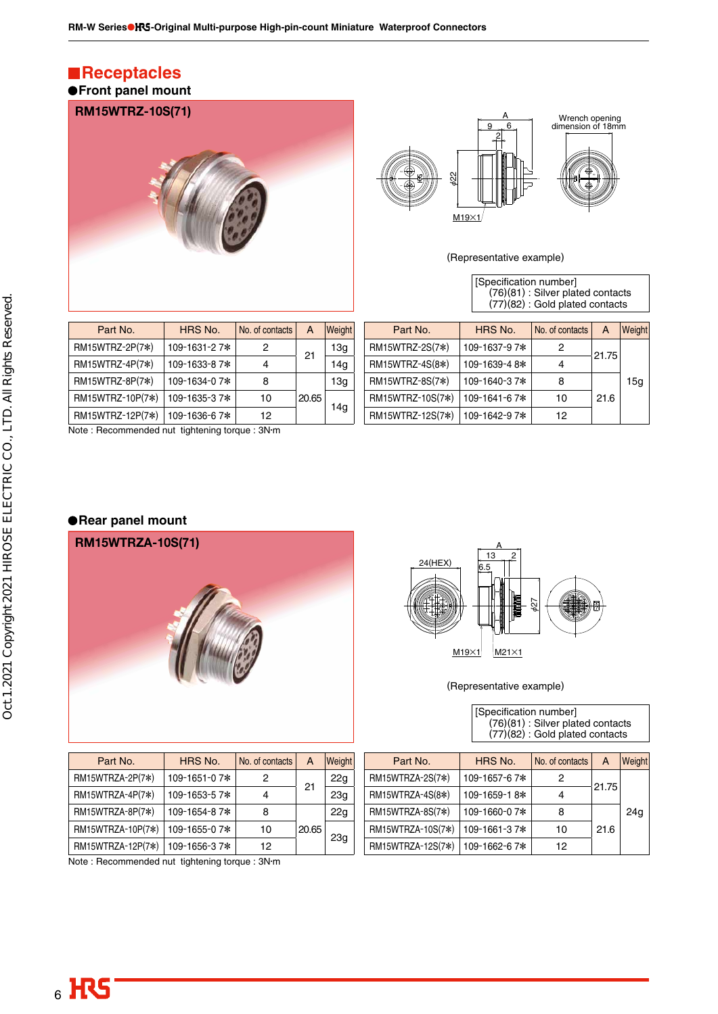## **Receptacles Front panel mount**





(Representative example)

| [Specification number]            |
|-----------------------------------|
| (76)(81): Silver plated contacts  |
| $(77)(82)$ : Gold plated contacts |

| Part No.         | HRS No.      | No. of contacts | A     | Weight |
|------------------|--------------|-----------------|-------|--------|
| RM15WTRZ-2P(7*)  | 109-1631-27* | 2               | 21    | 13q    |
| RM15WTRZ-4P(7*)  | 109-1633-87* |                 |       | 14q    |
| RM15WTRZ-8P(7*)  | 109-1634-07* | 8               |       | 13g    |
| RM15WTRZ-10P(7*) | 109-1635-37* | 10              | 20.65 |        |
| RM15WTRZ-12P(7*) | 109-1636-67* | 12              |       | 14a    |

Note : Recommended nut tightening torque : 3N•m

| Part No.         | HRS No.      | No. of contacts | A     | Weight          |
|------------------|--------------|-----------------|-------|-----------------|
| RM15WTRZ-2S(7*)  | 109-1637-97* | 2               | 21.75 |                 |
| RM15WTRZ-4S(8*)  | 109-1639-48* | 4               |       |                 |
| RM15WTRZ-8S(7*)  | 109-1640-37* | 8               |       | 15 <sub>q</sub> |
| RM15WTRZ-10S(7*) | 109-1641-67* | 10              | 21.6  |                 |
| RM15WTRZ-12S(7*) | 109-1642-97* | 12              |       |                 |
|                  |              |                 |       |                 |

### **Rear panel mount**





(Representative example)

| Part No.          | HRS No.      | No. of contacts | А     | <b>Weight</b>   | Part No.          | HRS No.      | No. of contacts | A     | <b>Weight</b> |
|-------------------|--------------|-----------------|-------|-----------------|-------------------|--------------|-----------------|-------|---------------|
| RM15WTRZA-2P(7*)  | 109-1651-07* |                 | 21    | 22g             | RM15WTRZA-2S(7*)  | 109-1657-67* |                 | 21.75 |               |
| RM15WTRZA-4P(7*)  | 109-1653-57* |                 |       | 23q             | RM15WTRZA-4S(8*)  | 109-1659-18* |                 |       |               |
| RM15WTRZA-8P(7*)  | 109-1654-87* |                 |       | 22 <sub>q</sub> | RM15WTRZA-8S(7*)  | 109-1660-07* |                 |       | 24g           |
| RM15WTRZA-10P(7*) | 109-1655-07* | 10              | 20.65 |                 | RM15WTRZA-10S(7*) | 109-1661-37* | 10              | 21.6  |               |
| RM15WTRZA-12P(7*) | 109-1656-37* | 12              |       | 23g             | RM15WTRZA-12S(7*) | 109-1662-67* | 12              |       |               |

Note : Recommended nut tightening torque : 3N•m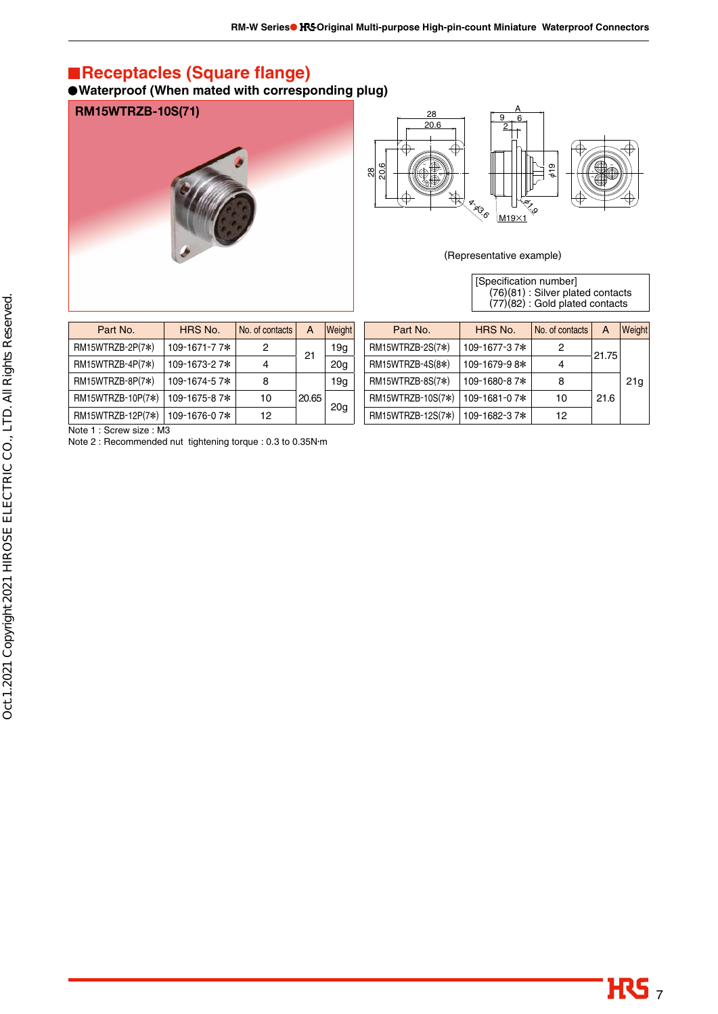## **Receptacles (Square flange)**

**Waterproof (When mated with corresponding plug)**





(Representative example)

[Specification number] (76)(81) : Silver plated contacts (77)(82) : Gold plated contacts

| Part No.          | HRS No.      | No. of contacts | A     | Weight          |
|-------------------|--------------|-----------------|-------|-----------------|
| RM15WTRZB-2P(7*)  | 109-1671-77* | 2               | 21    | 19g             |
| RM15WTRZB-4P(7*)  | 109-1673-27* |                 |       | 20 <sub>q</sub> |
| RM15WTRZB-8P(7*)  | 109-1674-57* | 8               |       | 19q             |
| RM15WTRZB-10P(7*) | 109-1675-87* | 10              | 20.65 |                 |
| RM15WTRZB-12P(7*) | 109-1676-07* | 12              |       | 20a             |

| Part No.          | HRS No.      | No. of contacts | A     | <b>Weight</b>   |
|-------------------|--------------|-----------------|-------|-----------------|
| RM15WTRZB-2S(7*)  | 109-1677-37* | 2               | 21.75 |                 |
| RM15WTRZB-4S(8*)  | 109-1679-98* |                 |       |                 |
| RM15WTRZB-8S(7*)  | 109-1680-87* | 8               |       | 21 <sub>a</sub> |
| RM15WTRZB-10S(7*) | 109-1681-07* | 10              | 21.6  |                 |
| RM15WTRZB-12S(7*) | 109-1682-37* | 12              |       |                 |

Note 1 : Screw size : M3

Note 2 : Recommended nut tightening torque : 0.3 to 0.35N•m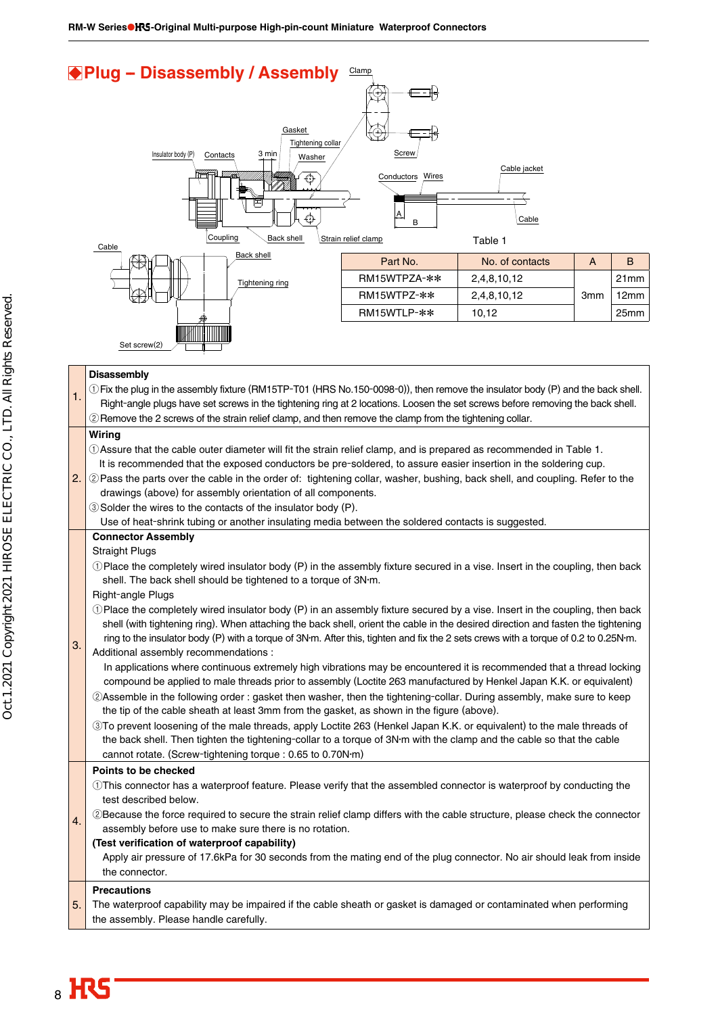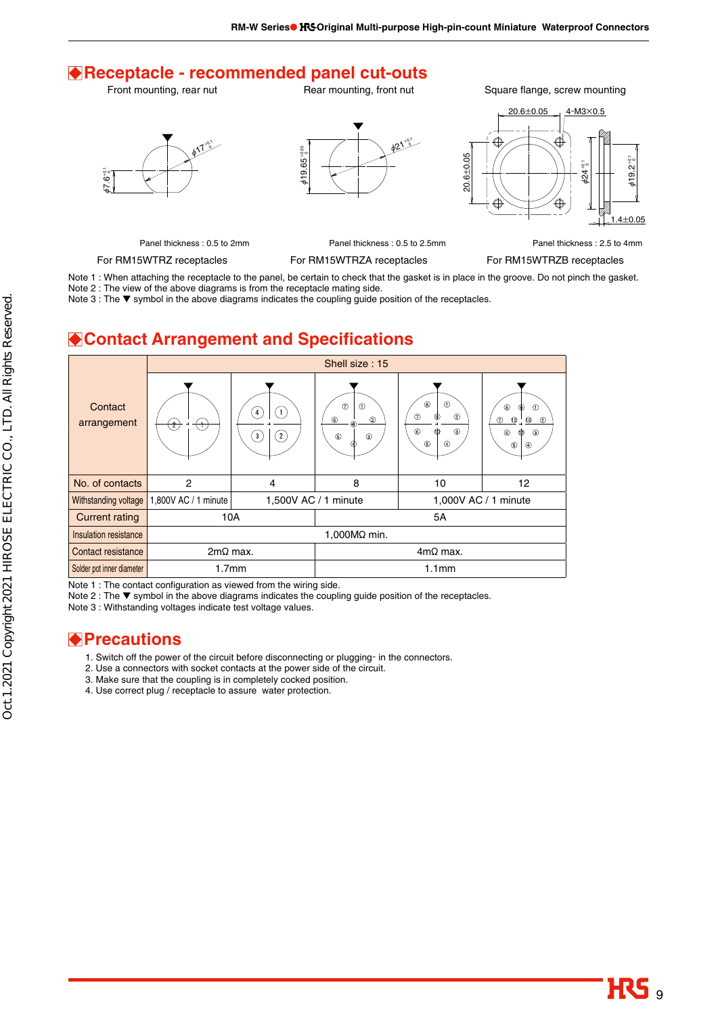## **Receptacle - recommended panel cut-outs**

Front mounting, rear nut

Rear mounting, front nut

Square flange, screw mounting







Panel thickness : 0.5 to 2mm

For RM15WTRZ receptacles

For RM15WTRZA receptacles

Panel thickness : 0.5 to 2.5mm

For RM15WTRZB receptacles

Panel thickness : 2.5 to 4mm

Note 1 : When attaching the receptacle to the panel, be certain to check that the gasket is in place in the groove. Do not pinch the gasket. Note 2 : The view of the above diagrams is from the receptacle mating side.

Note 3 : The ▼ symbol in the above diagrams indicates the coupling guide position of the receptacles.

## **Contact Arrangement and Specifications**



Note 1 : The contact configuration as viewed from the wiring side.

Note 2 : The ▼ symbol in the above diagrams indicates the coupling guide position of the receptacles.

Note 3 : Withstanding voltages indicate test voltage values.

## **Precautions**

- 1. Switch off the power of the circuit before disconnecting or plugging- in the connectors.
- 2. Use a connectors with socket contacts at the power side of the circuit.
- 3. Make sure that the coupling is in completely cocked position.
- 4. Use correct plug / receptacle to assure water protection.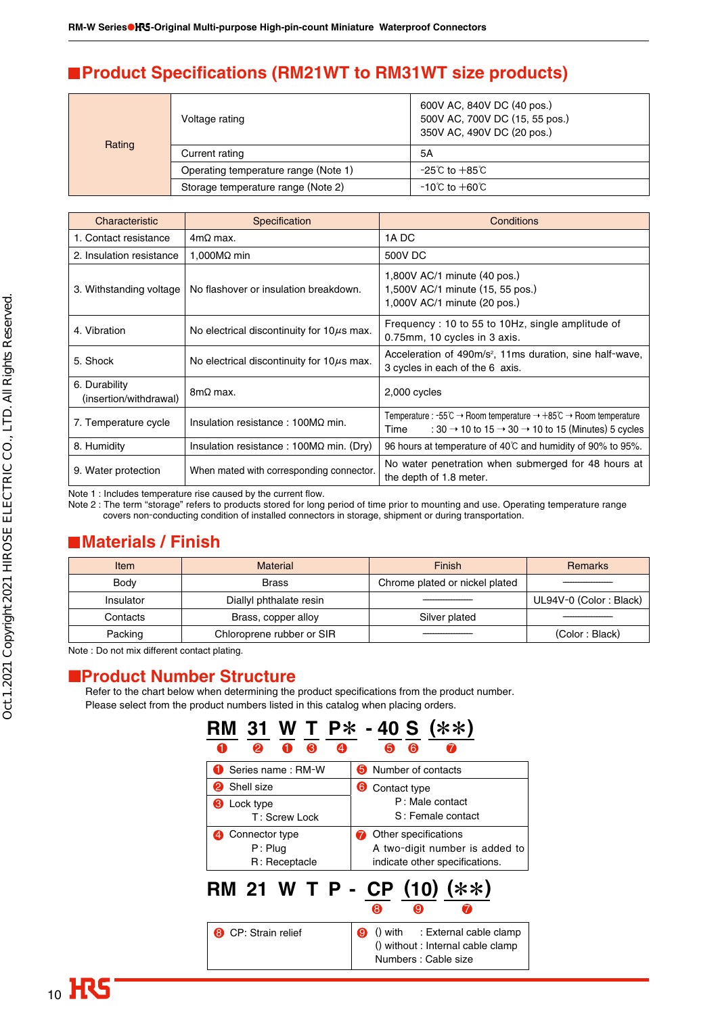## **Product Specifications (RM21WT to RM31WT size products)**

|        | Voltage rating                       | 600V AC, 840V DC (40 pos.)<br>500V AC, 700V DC (15, 55 pos.)<br>350V AC, 490V DC (20 pos.) |
|--------|--------------------------------------|--------------------------------------------------------------------------------------------|
| Rating | Current rating                       | 5A                                                                                         |
|        | Operating temperature range (Note 1) | $-25^{\circ}$ C to $+85^{\circ}$ C                                                         |
|        | Storage temperature range (Note 2)   | $-10^{\circ}$ C to $+60^{\circ}$ C                                                         |

| Characteristic                          | Specification                                   | Conditions                                                                                                                                                                                                                  |
|-----------------------------------------|-------------------------------------------------|-----------------------------------------------------------------------------------------------------------------------------------------------------------------------------------------------------------------------------|
| 1. Contact resistance                   | $4m\Omega$ max.                                 | 1A DC                                                                                                                                                                                                                       |
| 2. Insulation resistance                | 1,000 $M\Omega$ min                             | 500V DC                                                                                                                                                                                                                     |
| 3. Withstanding voltage                 | No flashover or insulation breakdown.           | 1,800V AC/1 minute (40 pos.)<br>1,500V AC/1 minute (15, 55 pos.)<br>1,000V AC/1 minute (20 pos.)                                                                                                                            |
| 4. Vibration                            | No electrical discontinuity for $10\mu s$ max.  | Frequency: 10 to 55 to 10Hz, single amplitude of<br>0.75mm, 10 cycles in 3 axis.                                                                                                                                            |
| 5. Shock                                | No electrical discontinuity for $10\mu s$ max.  | Acceleration of 490m/s <sup>2</sup> , 11ms duration, sine half-wave,<br>3 cycles in each of the 6 axis.                                                                                                                     |
| 6. Durability<br>(insertion/withdrawal) | $8m\Omega$ max.                                 | 2,000 cycles                                                                                                                                                                                                                |
| 7. Temperature cycle                    | Insulation resistance : $100M\Omega$ min.       | Temperature : -55 $\degree$ C $\rightarrow$ Room temperature $\rightarrow$ +85 $\degree$ C $\rightarrow$ Room temperature<br>: 30 $\rightarrow$ 10 to 15 $\rightarrow$ 30 $\rightarrow$ 10 to 15 (Minutes) 5 cycles<br>Time |
| 8. Humidity                             | Insulation resistance : $100M\Omega$ min. (Dry) | 96 hours at temperature of 40°C and humidity of 90% to 95%.                                                                                                                                                                 |
| 9. Water protection                     | When mated with corresponding connector.        | No water penetration when submerged for 48 hours at<br>the depth of 1.8 meter.                                                                                                                                              |

Note 1 : Includes temperature rise caused by the current flow.

Note 2 : The term "storage" refers to products stored for long period of time prior to mounting and use. Operating temperature range covers non-conducting condition of installed connectors in storage, shipment or during transportation.

## **Materials / Finish**

| Item        | <b>Finish</b><br><b>Material</b> |                                | <b>Remarks</b>         |
|-------------|----------------------------------|--------------------------------|------------------------|
| <b>Body</b> | <b>Brass</b>                     | Chrome plated or nickel plated |                        |
| Insulator   | Diallyl phthalate resin          |                                | UL94V-0 (Color: Black) |
| Contacts    | Brass, copper alloy              | Silver plated                  |                        |
| Packing     | Chloroprene rubber or SIR        |                                | (Color: Black)         |

Note : Do not mix different contact plating.

### ■**Product Number Structure**

Refer to the chart below when determining the product specifications from the product number. Please select from the product numbers listed in this catalog when placing orders.

| RM 31 W T P* -40 S (**)                      |                                                                                                  |
|----------------------------------------------|--------------------------------------------------------------------------------------------------|
| ❸<br>A)<br>a -<br>2<br>Ŧ                     | 6<br>6                                                                                           |
| Series name: RM-W                            | <b>6</b> Number of contacts                                                                      |
| Shell size<br>2)                             | ❺<br>Contact type                                                                                |
| <b>6</b> Lock type<br>T: Screw Lock          | P: Male contact<br>S: Female contact                                                             |
| 4 Connector type<br>P: Plua<br>R: Receptacle | Other specifications<br>A two-digit number is added to<br>indicate other specifications.         |
| RM 21 W T P - CP (10) (**)                   | O<br>ദ                                                                                           |
| <b>8</b> CP: Strain relief                   | Ø<br>() with : External cable clamp<br>() without : Internal cable clamp<br>Numbers : Cable size |
|                                              |                                                                                                  |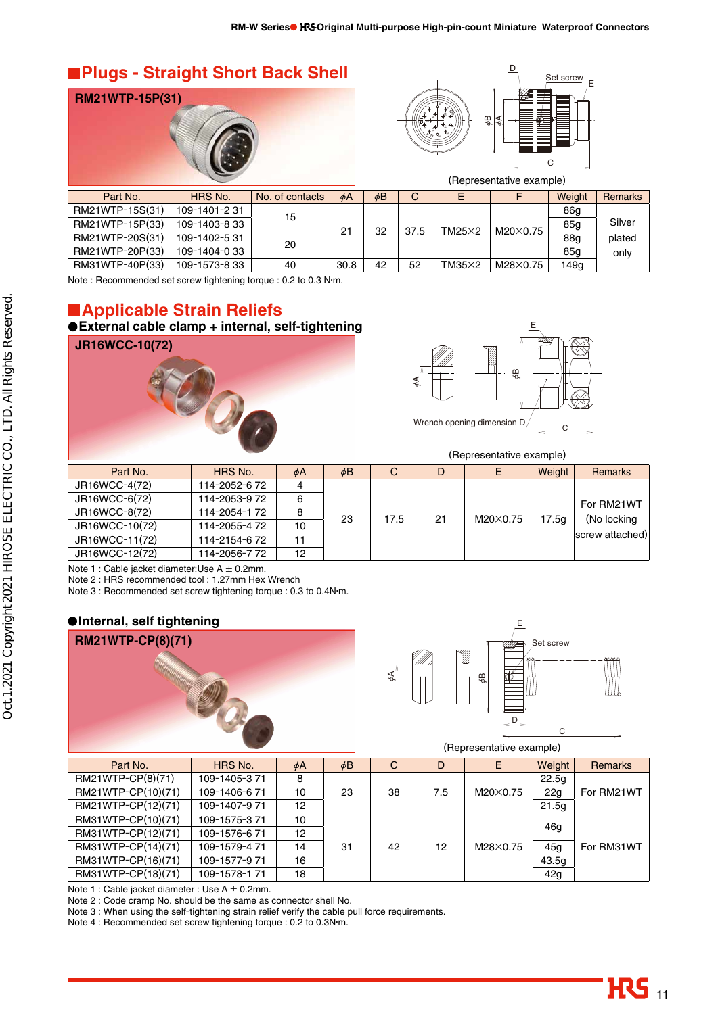## **Plugs - Straight Short Back Shell**





|                 |               |                 |      |          |      |               | (Representative example) |        |                |
|-----------------|---------------|-----------------|------|----------|------|---------------|--------------------------|--------|----------------|
| Part No.        | HRS No.       | No. of contacts | φA   | $\phi$ B | C    | E             |                          | Weight | <b>Remarks</b> |
| RM21WTP-15S(31) | 109-1401-231  | 15              |      |          |      |               |                          | 86a    |                |
| RM21WTP-15P(33) | 109-1403-8 33 |                 | 21   | 32       | 37.5 | $TM25\times2$ | M20×0.75                 | 85a    | Silver         |
| RM21WTP-20S(31) | 109-1402-531  | 20              |      |          |      |               |                          | 88a    | plated         |
| RM21WTP-20P(33) | 109-1404-033  |                 |      |          |      |               |                          | 85g    | only           |
| RM31WTP-40P(33) | 109-1573-8 33 | 40              | 30.8 | 42       | 52   | $TM35\times2$ | M28×0.75                 | 149a   |                |

Note : Recommended set screw tightening torque : 0.2 to 0.3 N•m.

# **Applicable Strain Reliefs**

# **External cable clamp + internal, self-tightening**





(Representative example)

| Part No.       | HRS No.       | $\phi$ A | $\phi$ B | C          |    |          | Weight            | <b>Remarks</b>  |
|----------------|---------------|----------|----------|------------|----|----------|-------------------|-----------------|
| JR16WCC-4(72)  | 114-2052-6 72 |          |          |            |    |          |                   |                 |
| JR16WCC-6(72)  | 114-2053-972  | 6        |          |            |    |          |                   | For RM21WT      |
| JR16WCC-8(72)  | 114-2054-172  |          |          |            | 21 | M20×0.75 | 17.5 <sub>a</sub> | (No locking     |
| JR16WCC-10(72) | 114-2055-4 72 | 10       |          | 23<br>17.5 |    |          |                   |                 |
| JR16WCC-11(72) | 114-2154-672  | 11       |          |            |    |          |                   | screw attached) |
| JR16WCC-12(72) | 114-2056-772  | 12       |          |            |    |          |                   |                 |

Note 1 : Cable jacket diameter: Use  $A \pm 0.2$ mm.

Note 2 : HRS recommended tool : 1.27mm Hex Wrench

Note 3 : Recommended set screw tightening torque : 0.3 to 0.4N•m.

### **Internal, self tightening**





(Representative example)

| Part No.           | HRS No.      | $\phi$ A | $\phi$ B | C              | D   | Е                | Weight | Remarks    |
|--------------------|--------------|----------|----------|----------------|-----|------------------|--------|------------|
| RM21WTP-CP(8)(71)  | 109-1405-371 | 8        |          |                |     |                  | 22.5q  |            |
| RM21WTP-CP(10)(71) | 109-1406-671 | 10       | 23       | 38             | 7.5 | $M20\times 0.75$ | 22q    | For RM21WT |
| RM21WTP-CP(12)(71) | 109-1407-971 | 12       |          |                |     |                  | 21.5q  |            |
| RM31WTP-CP(10)(71) | 109-1575-371 | 10       |          | 31<br>42<br>12 |     | M28×0.75         | 46a    |            |
| RM31WTP-CP(12)(71) | 109-1576-671 | 12       |          |                |     |                  |        |            |
| RM31WTP-CP(14)(71) | 109-1579-471 | 14       |          |                |     |                  | 45a    | For RM31WT |
| RM31WTP-CP(16)(71) | 109-1577-971 | 16       |          |                |     |                  | 43.5g  |            |
| RM31WTP-CP(18)(71) | 109-1578-171 | 18       |          |                |     |                  | 42g    |            |

Note 1 : Cable jacket diameter : Use  $A \pm 0.2$ mm.

Note 2 : Code cramp No. should be the same as connector shell No.

Note 3 : When using the self-tightening strain relief verify the cable pull force requirements.

Note 4 : Recommended set screw tightening torque : 0.2 to 0.3N•m.